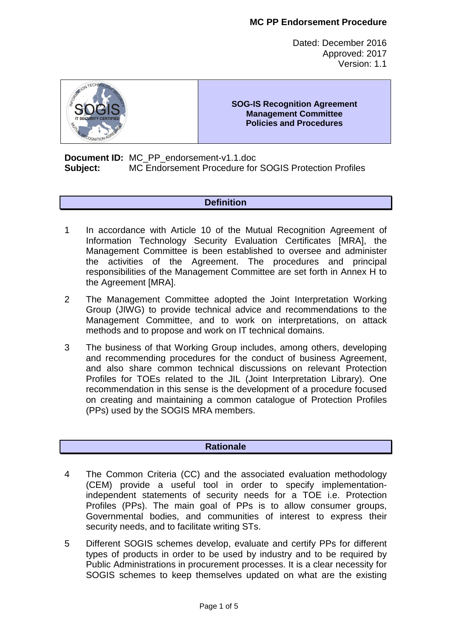Dated: December 2016 Approved: 2017 Version: 1.1



**SOG-IS Recognition Agreement Management Committee Policies and Procedures** 

**Document ID:** MC\_PP\_endorsement-v1.1.doc **Subject:** MC Endorsement Procedure for SOGIS Protection Profiles

## **Definition**

- 1 In accordance with Article 10 of the Mutual Recognition Agreement of Information Technology Security Evaluation Certificates [MRA], the Management Committee is been established to oversee and administer the activities of the Agreement. The procedures and principal responsibilities of the Management Committee are set forth in Annex H to the Agreement [MRA].
- 2 The Management Committee adopted the Joint Interpretation Working Group (JIWG) to provide technical advice and recommendations to the Management Committee, and to work on interpretations, on attack methods and to propose and work on IT technical domains.
- 3 The business of that Working Group includes, among others, developing and recommending procedures for the conduct of business Agreement, and also share common technical discussions on relevant Protection Profiles for TOEs related to the JIL (Joint Interpretation Library). One recommendation in this sense is the development of a procedure focused on creating and maintaining a common catalogue of Protection Profiles (PPs) used by the SOGIS MRA members.

## **Rationale**

- 4 The Common Criteria (CC) and the associated evaluation methodology (CEM) provide a useful tool in order to specify implementationindependent statements of security needs for a TOE i.e. Protection Profiles (PPs). The main goal of PPs is to allow consumer groups, Governmental bodies, and communities of interest to express their security needs, and to facilitate writing STs.
- 5 Different SOGIS schemes develop, evaluate and certify PPs for different types of products in order to be used by industry and to be required by Public Administrations in procurement processes. It is a clear necessity for SOGIS schemes to keep themselves updated on what are the existing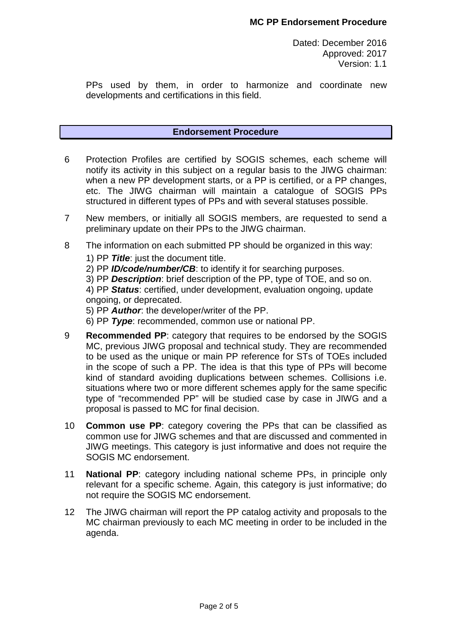PPs used by them, in order to harmonize and coordinate new developments and certifications in this field.

### **Endorsement Procedure**

- 6 Protection Profiles are certified by SOGIS schemes, each scheme will notify its activity in this subject on a regular basis to the JIWG chairman: when a new PP development starts, or a PP is certified, or a PP changes, etc. The JIWG chairman will maintain a catalogue of SOGIS PPs structured in different types of PPs and with several statuses possible.
- 7 New members, or initially all SOGIS members, are requested to send a preliminary update on their PPs to the JIWG chairman.
- 8 The information on each submitted PP should be organized in this way:
	- 1) PP **Title**: just the document title.
	- 2) PP **ID/code/number/CB**: to identify it for searching purposes.
	- 3) PP **Description**: brief description of the PP, type of TOE, and so on.
	- 4) PP **Status**: certified, under development, evaluation ongoing, update ongoing, or deprecated.
	- 5) PP **Author**: the developer/writer of the PP.
	- 6) PP **Type**: recommended, common use or national PP.
- 9 **Recommended PP**: category that requires to be endorsed by the SOGIS MC, previous JIWG proposal and technical study. They are recommended to be used as the unique or main PP reference for STs of TOEs included in the scope of such a PP. The idea is that this type of PPs will become kind of standard avoiding duplications between schemes. Collisions i.e. situations where two or more different schemes apply for the same specific type of "recommended PP" will be studied case by case in JIWG and a proposal is passed to MC for final decision.
- 10 **Common use PP**: category covering the PPs that can be classified as common use for JIWG schemes and that are discussed and commented in JIWG meetings. This category is just informative and does not require the SOGIS MC endorsement.
- 11 **National PP**: category including national scheme PPs, in principle only relevant for a specific scheme. Again, this category is just informative; do not require the SOGIS MC endorsement.
- 12 The JIWG chairman will report the PP catalog activity and proposals to the MC chairman previously to each MC meeting in order to be included in the agenda.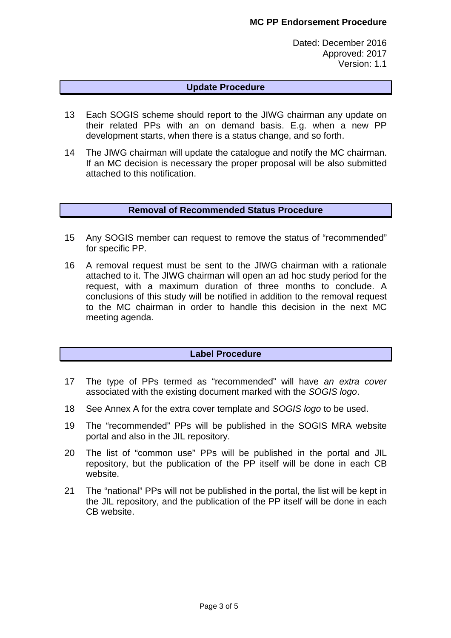Dated: December 2016 Approved: 2017 Version: 1.1

## **Update Procedure**

- 13 Each SOGIS scheme should report to the JIWG chairman any update on their related PPs with an on demand basis. E.g. when a new PP development starts, when there is a status change, and so forth.
- 14 The JIWG chairman will update the catalogue and notify the MC chairman. If an MC decision is necessary the proper proposal will be also submitted attached to this notification.

#### **Removal of Recommended Status Procedure**

- 15 Any SOGIS member can request to remove the status of "recommended" for specific PP.
- 16 A removal request must be sent to the JIWG chairman with a rationale attached to it. The JIWG chairman will open an ad hoc study period for the request, with a maximum duration of three months to conclude. A conclusions of this study will be notified in addition to the removal request to the MC chairman in order to handle this decision in the next MC meeting agenda.

## **Label Procedure**

- 17 The type of PPs termed as "recommended" will have an extra cover associated with the existing document marked with the SOGIS logo.
- 18 See Annex A for the extra cover template and SOGIS logo to be used.
- 19 The "recommended" PPs will be published in the SOGIS MRA website portal and also in the JIL repository.
- 20 The list of "common use" PPs will be published in the portal and JIL repository, but the publication of the PP itself will be done in each CB website.
- 21 The "national" PPs will not be published in the portal, the list will be kept in the JIL repository, and the publication of the PP itself will be done in each CB website.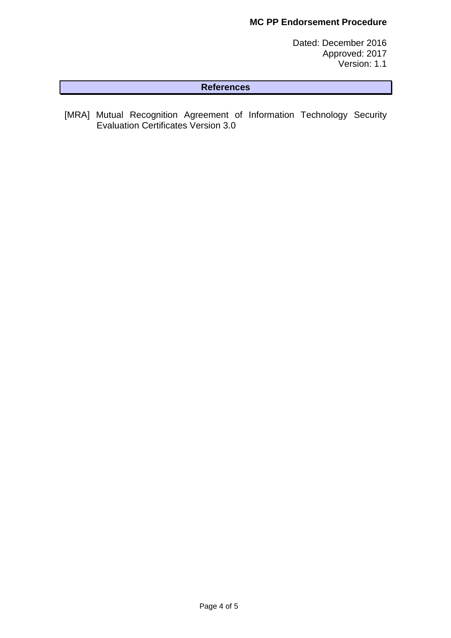## **MC PP Endorsement Procedure**

Dated: December 2016 Approved: 2017 Version: 1.1

## **References**

[MRA] Mutual Recognition Agreement of Information Technology Security Evaluation Certificates Version 3.0